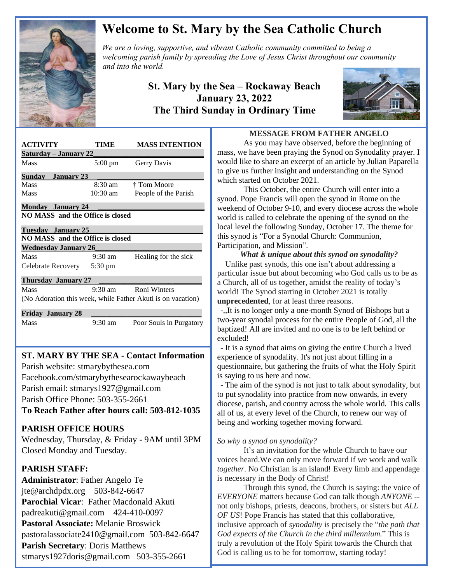

# **Welcome to St. Mary by the Sea Catholic Church**

*We are a loving, supportive, and vibrant Catholic community committed to being a We are a loving, supportive, and vibrant Catholic community committed to being a*  $\mathbb{Z}$ *welcoming parish family by spreading the Love of Jesus Christ throughout our community and into the world.*

## **St. Mary by the Sea – Rockaway Beach January 23, 2022 The Third Sunday in Ordinary Time**



| <b>ACTIVITY</b>                                             | TIME              | <b>MASS INTENTION</b>   |
|-------------------------------------------------------------|-------------------|-------------------------|
| <u> Saturday – January 22</u>                               |                   |                         |
| Mass                                                        | 5:00 pm           | Gerry Davis             |
| <b>Sunday</b> January 23                                    |                   |                         |
| <b>Mass</b>                                                 | $8:30 \text{ am}$ | † Tom Moore             |
| Mass                                                        | $10:30$ am        | People of the Parish    |
| <b>Monday</b> January 24                                    |                   |                         |
| NO MASS and the Office is closed                            |                   |                         |
| Tuesday January 25                                          |                   |                         |
| NO MASS and the Office is closed                            |                   |                         |
| <b>Wednesday January 26</b>                                 |                   |                         |
| Mass                                                        | $9:30 \text{ am}$ | Healing for the sick    |
| Celebrate Recovery 5:30 pm                                  |                   |                         |
| <b>Thursday January 27</b>                                  |                   |                         |
| Mass                                                        | $9:30 \text{ am}$ | Roni Winters            |
| (No Adoration this week, while Father Akuti is on vacation) |                   |                         |
| <b>Friday January 28</b>                                    |                   |                         |
| Mass                                                        | $9:30 \text{ am}$ | Poor Souls in Purgatory |
|                                                             |                   |                         |
|                                                             |                   |                         |

# **ST. MARY BY THE SEA - Contact Information**

 Facebook.com/stmarybythesearockawaybeach Parish website: stmarybythesea.com Parish email: stmarys1927@gmail.com Parish Office Phone: 503-355-2661

**To Reach Father after hours call: 503-812-1035**

#### **PARISH OFFICE HOURS**

Wednesday, Thursday, & Friday - 9AM until 3PM Closed Monday and Tuesday.

### **PARISH STAFF:**

 

> **Administrator**: Father Angelo Te jte@archdpdx.org 503-842-6647 **Parochial Vicar**: Father Macdonald Akuti padreakuti@gmail.com 424-410-0097 **Pastoral Associate:** Melanie Broswick pastoralassociate2410@gmail.com 503-842-6647 **Parish Secretary**: Doris Matthews stmarys1927doris@gmail.com 503-355-2661

#### **MESSAGE FROM FATHER ANGELO**

As you may have observed, before the beginning of mass, we have been praying the Synod on Synodality prayer. I would like to share an excerpt of an article by Julian Paparella to give us further insight and understanding on the Synod which started on October 2021.

This October, the entire Church will enter into a synod. Pope Francis will open the synod in Rome on the weekend of October 9-10, and every diocese across the whole world is called to celebrate the opening of the synod on the local level the following Sunday, October 17. The theme for this synod is ["For a Synodal Church: Communion,](https://www.vaticannews.va/en/vatican-city/news/2021-09/text-read-in-english.html)  [Participation, and Mission"](https://www.vaticannews.va/en/vatican-city/news/2021-09/text-read-in-english.html).

*What* **<sup>i</sup>***s unique about this synod on synodality?* Unlike past synods, this one isn't about addressing a particular issue but about becoming who God calls us to be as a Church, all of us together, amidst the reality of today's world! The Synod starting in October 2021 is totally **unprecedented**, for at least three reasons.

-,,It is no longer only a one-month Synod of Bishops but a two-year [synodal process for the entire People of God,](https://www.vaticannews.va/en/pope/news/2021-09/pope-francis-discourse-rome-faithful-synodal-process.html) all the baptized! All are invited and no one is to be left behind or excluded!

- It is a synod that aims on giving the entire Church a lived experience of synodality. It's not just about filling in a questionnaire, but gathering the fruits of what the Holy Spirit is saying to us here and now.

- The aim of the synod is not just to talk about synodality, but to put synodality into practice from now onwards, in every diocese, parish, and country across the whole world. This calls all of us, at every level of the Church, to renew our way of being and working together moving forward.

#### *So why a synod on synodality?*

It's an invitation for the whole Church to have our voices heard.We can only move forward if we work and walk *together*. No Christian is an island! Every limb and appendage is necessary in the Body of Christ!

Through this synod, the Church is saying: the voice of *EVERYONE* matters because God can talk though *ANYONE* - not only bishops, priests, deacons, brothers, or sisters but *ALL OF US*! Pope Francis has stated that this collaborative, inclusive approach of *synodality* is precisely the "*the path that God expects of the Church in the third millennium.*" This is truly a revolution of the Holy Spirit towards the Church that God is calling us to be for tomorrow, starting today!